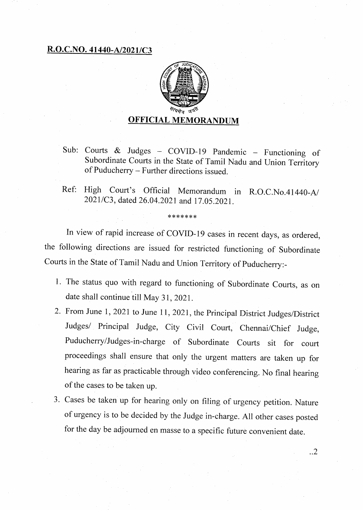## **R.O.C.NO. 41440-A12021/C3**



- Sub: Courts & Judges COV1D-19 Pandemic Functioning of Subordinate Courts in the State of Tamil Nadu and Union Territory of Puducherry — Further directions issued.
- Ref: High Court's Official Memorandum in R.O.C.No.41440-A/ 2021/C3, dated 26.04.2021 and 17.05.2021.

In view of rapid increase of COVID-19 cases in recent days, as ordered, the following directions are issued for restricted functioning of Subordinate Courts in the State of Tamil Nadu and Union Territory of Puducherry:-

\*\*\*\*\*\*\*

- 1. The status quo with regard to functioning of Subordinate Courts, as on date shall continue till May 31, 2021.
- From June 1, 2021 to June 11, 2021, the Principal District Judges/District Judges/ Principal Judge, City Civil Court, Chennai/Chief Judge, Puducherry/Judges-in-charge of Subordinate Courts sit for court proceedings shall ensure that only the urgent matters are taken up for hearing as far as practicable through video conferencing. No final hearing of the cases to be taken up.
- Cases be taken up for hearing only on filing of urgency petition. Nature of urgency is to be decided by the Judge in-charge. All other cases posted for the day be adjourned en masse to a specific future convenient date.

..2